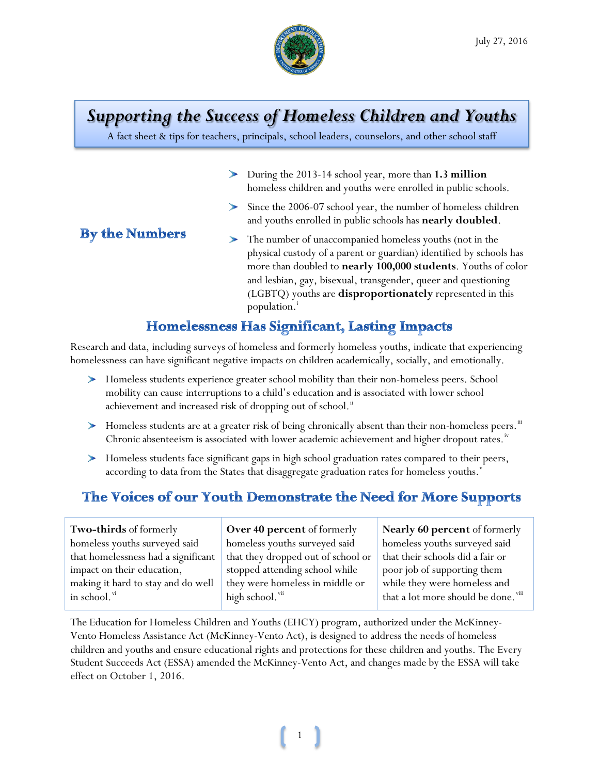

# *Supporting the Success of Homeless Children and Youths*

A fact sheet & tips for teachers, principals, school leaders, counselors, and other school staff

- During the 2013-14 school year, more than **1.3 million** ➤ homeless children and youths were enrolled in public schools.
- Since the 2006-07 school year, the number of homeless children and youths enrolled in public schools has **nearly doubled**.

#### **By the Numbers**

The number of unaccompanied homeless youths (not in the physical custody of a parent or guardian) identified by schools has more than doubled to **nearly 100,000 students**. Youths of color and lesbian, gay, bisexual, transgender, queer and questioning (LGBTQ) youths are **disproportionately** represented in this populat[i](#page-3-0)on.<sup>1</sup>

#### **Homelessness Has Significant, Lasting Impacts**

Research and data, including surveys of homeless and formerly homeless youths, indicate that experiencing homelessness can have significant negative impacts on children academically, socially, and emotionally.

- Homeless students experience greater school mobility than their non-homeless peers. School mobility can cause interruptions to a child's education and is associated with lower school achievement and increased risk of dropping out of school.<sup>[ii](#page-3-1)</sup>
- $\blacktriangleright$  Homeless students are at a greater risk of being chronically absent than their non-homeless peers. $\mathbb{I}^n$ Chronic absenteeism is associated with lower academic achievement and higher dropout rates.<sup>[iv](#page-3-3)</sup>
- Homeless students face significant gaps in high school graduation rates compared to their peers, according to data from the States that disaggregate graduation rates for homeless youths.<sup>[v](#page-3-4)</sup>

## The Voices of our Youth Demonstrate the Need for More Supports

| Two-thirds of formerly              | Over 40 percent of formerly        | <b>Nearly 60 percent</b> of formerly |
|-------------------------------------|------------------------------------|--------------------------------------|
| homeless youths surveyed said       | homeless youths surveyed said      | homeless youths surveyed said        |
| that homelessness had a significant | that they dropped out of school or | that their schools did a fair or     |
| impact on their education,          | stopped attending school while     | poor job of supporting them          |
| making it hard to stay and do well  | they were homeless in middle or    | while they were homeless and         |
| in school."                         | high school. vii                   | that a lot more should be done. viii |
|                                     |                                    |                                      |

The Education for Homeless Children and Youths (EHCY) program, authorized under the McKinney-Vento Homeless Assistance Act (McKinney-Vento Act), is designed to address the needs of homeless children and youths and ensure educational rights and protections for these children and youths. The Every Student Succeeds Act (ESSA) amended the McKinney-Vento Act, and changes made by the ESSA will take effect on October 1, 2016.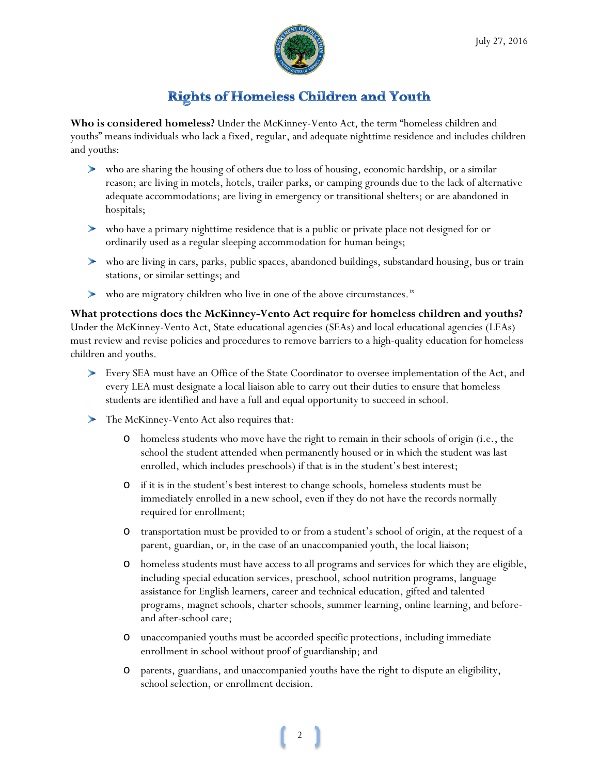

### **Rights of Homeless Children and Youth**

**Who is considered homeless?** Under the McKinney-Vento Act, the term "homeless children and youths" means individuals who lack a fixed, regular, and adequate nighttime residence and includes children and youths:

- who are sharing the housing of others due to loss of housing, economic hardship, or a similar reason; are living in motels, hotels, trailer parks, or camping grounds due to the lack of alternative adequate accommodations; are living in emergency or transitional shelters; or are abandoned in hospitals;
- who have a primary nighttime residence that is a public or private place not designed for or ordinarily used as a regular sleeping accommodation for human beings;
- who are living in cars, parks, public spaces, abandoned buildings, substandard housing, bus or train stations, or similar settings; and
- $\triangleright$  who are migratory children who live in one of the above circumstances.<sup>[ix](#page-3-8)</sup>

**What protections does the McKinney-Vento Act require for homeless children and youths?** Under the McKinney-Vento Act, State educational agencies (SEAs) and local educational agencies (LEAs) must review and revise policies and procedures to remove barriers to a high-quality education for homeless children and youths.

- Every SEA must have an Office of the State Coordinator to oversee implementation of the Act, and every LEA must designate a local liaison able to carry out their duties to ensure that homeless students are identified and have a full and equal opportunity to succeed in school.
- The McKinney-Vento Act also requires that:
	- o homeless students who move have the right to remain in their schools of origin (i.e., the school the student attended when permanently housed or in which the student was last enrolled, which includes preschools) if that is in the student's best interest;
	- o if it is in the student's best interest to change schools, homeless students must be immediately enrolled in a new school, even if they do not have the records normally required for enrollment;
	- o transportation must be provided to or from a student's school of origin, at the request of a parent, guardian, or, in the case of an unaccompanied youth, the local liaison;
	- o homeless students must have access to all programs and services for which they are eligible, including special education services, preschool, school nutrition programs, language assistance for English learners, career and technical education, gifted and talented programs, magnet schools, charter schools, summer learning, online learning, and beforeand after-school care;
	- o unaccompanied youths must be accorded specific protections, including immediate enrollment in school without proof of guardianship; and
	- o parents, guardians, and unaccompanied youths have the right to dispute an eligibility, school selection, or enrollment decision.

2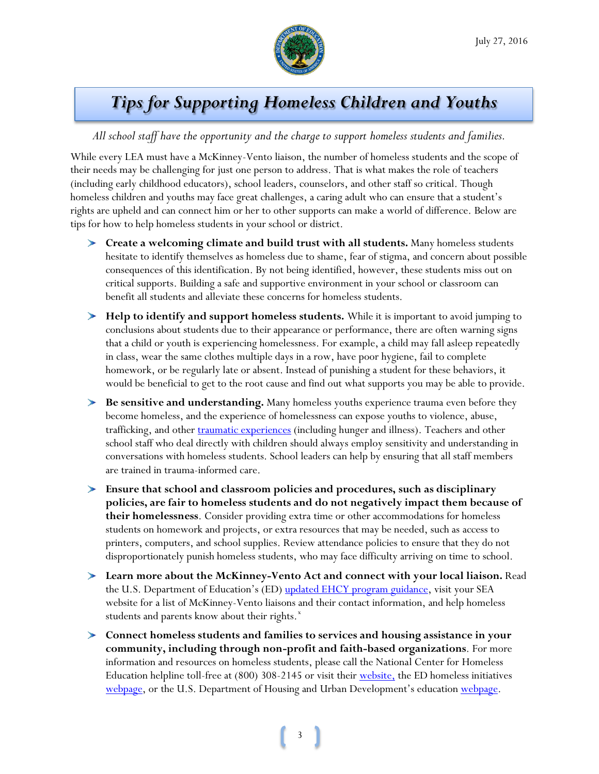

# *Tips for Supporting Homeless Children and Youths*

#### *All school staff have the opportunity and the charge to support homeless students and families.*

While every LEA must have a McKinney-Vento liaison, the number of homeless students and the scope of their needs may be challenging for just one person to address. That is what makes the role of teachers (including early childhood educators), school leaders, counselors, and other staff so critical. Though homeless children and youths may face great challenges, a caring adult who can ensure that a student's rights are upheld and can connect him or her to other supports can make a world of difference. Below are tips for how to help homeless students in your school or district.

- **Create a welcoming climate and build trust with all students.** Many homeless students hesitate to identify themselves as homeless due to shame, fear of stigma, and concern about possible consequences of this identification. By not being identified, however, these students miss out on critical supports. Building a safe and supportive environment in your school or classroom can benefit all students and alleviate these concerns for homeless students.
- **Help to identify and support homeless students.** While it is important to avoid jumping to conclusions about students due to their appearance or performance, there are often warning signs that a child or youth is experiencing homelessness. For example, a child may fall asleep repeatedly in class, wear the same clothes multiple days in a row, have poor hygiene, fail to complete homework, or be regularly late or absent. Instead of punishing a student for these behaviors, it would be beneficial to get to the root cause and find out what supports you may be able to provide.
- **Be sensitive and understanding.** Many homeless youths experience trauma even before they become homeless, and the experience of homelessness can expose youths to violence, abuse, trafficking, and other [traumatic experiences](http://center.serve.org/nche/ibt/trafficking.php) (including hunger and illness). Teachers and other school staff who deal directly with children should always employ sensitivity and understanding in conversations with homeless students. School leaders can help by ensuring that all staff members are trained in trauma-informed care.
- **Ensure that school and classroom policies and procedures, such as disciplinary policies, are fair to homeless students and do not negatively impact them because of their homelessness**. Consider providing extra time or other accommodations for homeless students on homework and projects, or extra resources that may be needed, such as access to printers, computers, and school supplies. Review attendance policies to ensure that they do not disproportionately punish homeless students, who may face difficulty arriving on time to school.
- **Learn more about the McKinney-Vento Act and connect with your local liaison.** Read the U.S. Department of Education's (ED) [updated EHCY program guidance,](http://www2.ed.gov/policy/elsec/leg/essa/index.html) visit your SEA website for a list of McKinney-Vento liaisons and their contact information, and help homeless students and parents know about their rights.<sup>[x](#page-3-9)</sup>
- **Connect homeless students and families to services and housing assistance in your community, including through non-profit and faith-based organizations**. For more information and resources on homeless students, please call the National Center for Homeless Education helpline toll-free at (800) 308-2145 or visit their [website,](http://center.serve.org/nche/) the ED homeless initiatives [webpage,](https://www2.ed.gov/about/inits/ed/supporting-homeless-students/index.html) or the U.S. Department of Housing and Urban Development's education [webpage.](https://www.hudexchange.info/homelessness-assistance/resources-for-homeless-youth/housing-and-education-cross-systems-collaboration/)